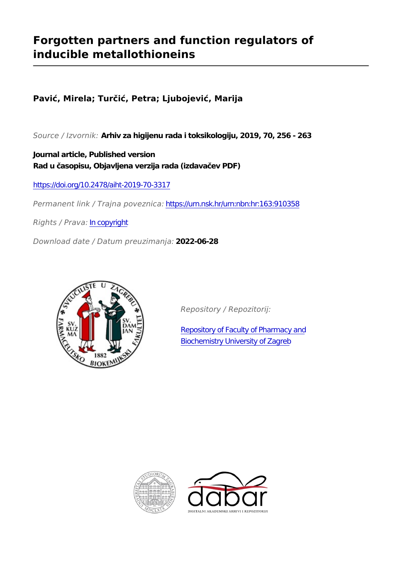# **Forgotten partners and function regulators of inducible metallothioneins**

## **Pavić, Mirela; Turčić, Petra; Ljubojević, Marija**

*Source / Izvornik:* **Arhiv za higijenu rada i toksikologiju, 2019, 70, 256 - 263**

**Journal article, Published version Rad u časopisu, Objavljena verzija rada (izdavačev PDF)**

<https://doi.org/10.2478/aiht-2019-70-3317>

*Permanent link / Trajna poveznica:* <https://urn.nsk.hr/urn:nbn:hr:163:910358>

*Rights / Prava:* [In copyright](http://rightsstatements.org/vocab/InC/1.0/)

*Download date / Datum preuzimanja:* **2022-06-28**



*Repository / Repozitorij:*

[Repository of Faculty of Pharmacy and](https://repozitorij.pharma.unizg.hr) [Biochemistry University of Zagreb](https://repozitorij.pharma.unizg.hr)



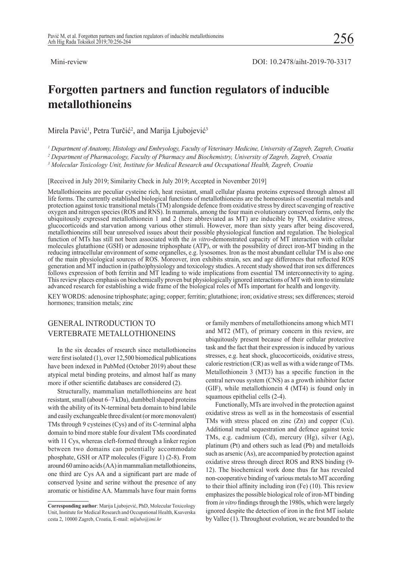## **Forgotten partners and function regulators of inducible metallothioneins**

Mirela Pavić<sup>1</sup>, Petra Turčić<sup>2</sup>, and Marija Ljubojević<sup>3</sup>

*1 Department of Anatomy, Histology and Embryology, Faculty of Veterinary Medicine, University of Zagreb, Zagreb, Croatia*

*2 Department of Pharmacology, Faculty of Pharmacy and Biochemistry, University of Zagreb, Zagreb, Croatia*

*3 Molecular Toxicology Unit, Institute for Medical Research and Occupational Health, Zagreb, Croatia*

[Received in July 2019; Similarity Check in July 2019; Accepted in November 2019]

Metallothioneins are peculiar cysteine rich, heat resistant, small cellular plasma proteins expressed through almost all life forms. The currently established biological functions of metallothioneins are the homeostasis of essential metals and protection against toxic transitional metals (TM) alongside defence from oxidative stress by direct scavenging of reactive oxygen and nitrogen species (ROS and RNS). In mammals, among the four main evolutionary conserved forms, only the ubiquitously expressed metallothionein 1 and 2 (here abbreviated as MT) are inducible by TM, oxidative stress, glucocorticoids and starvation among various other stimuli. However, more than sixty years after being discovered, metallothioneins still bear unresolved issues about their possible physiological function and regulation. The biological function of MTs has still not been associated with the *in vitro*-demonstrated capacity of MT interaction with cellular molecules glutathione (GSH) or adenosine triphosphate (ATP), or with the possibility of direct iron-MT binding in the reducing intracellular environment of some organelles, e.g. lysosomes. Iron as the most abundant cellular TM is also one of the main physiological sources of ROS. Moreover, iron exhibits strain, sex and age differences that reflected ROS generation and MT induction in (patho)physiology and toxicology studies. A recent study showed that iron sex differences follows expression of both ferritin and MT leading to wide implications from essential TM interconnectivity to aging. This review places emphasis on biochemically proven but physiologically ignored interactions of MT with iron to stimulate advanced research for establishing a wide frame of the biological roles of MTs important for health and longevity.

KEY WORDS: adenosine triphosphate; aging; copper; ferritin; glutathione; iron; oxidative stress; sex differences; steroid hormones; transition metals; zinc

## GENERAL INTRODUCTION TO VERTEBRATE METALLOTHIONEINS

In the six decades of research since metallothioneins were first isolated (1), over 12,500 biomedical publications have been indexed in PubMed (October 2019) about these atypical metal binding proteins, and almost half as many more if other scientific databases are considered (2).

Structurally, mammalian metallothioneins are heat resistant, small (about 6–7 kDa), dumbbell shaped proteins with the ability of its N-terminal beta domain to bind labile and easily exchangeable three divalent (or more monovalent) TMs through 9 cysteines (Cys) and of its C-terminal alpha domain to bind more stable four divalent TMs coordinated with 11 Cys, whereas cleft-formed through a linker region between two domains can potentially accommodate phosphate, GSH or ATP molecules (Figure 1) (2-8). From around 60 amino acids (AA) in mammalian metallothioneins, one third are Cys AA and a significant part are made of conserved lysine and serine without the presence of any aromatic or histidine AA. Mammals have four main forms

or family members of metallothioneins among which MT1 and MT2 (MT), of primary concern in this review, are ubiquitously present because of their cellular protective task and the fact that their expression is induced by various stresses, e.g. heat shock, glucocorticoids, oxidative stress, calorie restriction (CR) as well as with a wide range of TMs. Metallothionein 3 (MT3) has a specific function in the central nervous system (CNS) as a growth inhibitor factor (GIF), while metallothionein 4 (MT4) is found only in squamous epithelial cells (2-4).

Functionally, MTs are involved in the protection against oxidative stress as well as in the homeostasis of essential TMs with stress placed on zinc (Zn) and copper (Cu). Additional metal sequestration and defence against toxic TMs, e.g. cadmium (Cd), mercury (Hg), silver (Ag), platinum (Pt) and others such as lead (Pb) and metalloids such as arsenic (As), are accompanied by protection against oxidative stress through direct ROS and RNS binding (9- 12). The biochemical work done thus far has revealed non-cooperative binding of various metals to MT according to their thiol affinity including iron (Fe) (10). This review emphasizes the possible biological role of iron-MT binding from *in vitro* findings through the 1980s, which were largely ignored despite the detection of iron in the first MT isolate by Vallee (1). Throughout evolution, we are bounded to the

**Corresponding author**: Marija Ljubojević, PhD, Molecular Toxicology Unit, Institute for Medical Research and Occupational Health, Ksaverska cesta 2, 10000 Zagreb, Croatia, E-mail: *mljubo@imi.hr*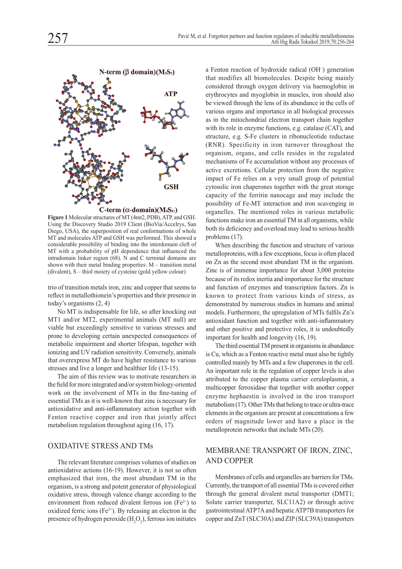

C-term ( $\alpha$ -domain)(M<sub>4</sub>S<sub>11</sub>)

**Figure 1** Molecular structures of MT (4mt2, PDB), ATP, and GSH. Using the Discovery Studio 2019 Client (BioVia/Accelrys, San Diego, USA), the superposition of real conformations of whole MT and molecules ATP and GSH was performed. This showed a considerable possibility of binding into the interdomain cleft of MT with a probability of pH dependence that influenced the intradomain linker region  $(68)$ . N and C terminal domains are shown with their metal binding properties: M – transition metal (divalent), S – thiol moiety of cysteine (gold yellow colour)

trio of transition metals iron, zinc and copper that seems to reflect in metallothionein's properties and their presence in today's organisms (2, 4)

No MT is indispensable for life, so after knocking out MT1 and/or MT2, experimental animals (MT null) are viable but exceedingly sensitive to various stresses and prone to developing certain unexpected consequences of metabolic impairment and shorter lifespan, together with ionizing and UV radiation sensitivity. Conversely, animals that overexpress MT do have higher resistance to various stresses and live a longer and healthier life (13-15).

The aim of this review was to motivate researchers in the field for more integrated and/or system biology-oriented work on the involvement of MTs in the fine-tuning of essential TMs as it is well-known that zinc is necessary for antioxidative and anti-inflammatory action together with Fenton reactive copper and iron that jointly affect metabolism regulation throughout aging (16, 17).

#### OXIDATIVE STRESS AND TMs

The relevant literature comprises volumes of studies on antioxidative actions (16-19). However, it is not so often emphasized that iron, the most abundant TM in the organism, is a strong and potent generator of physiological oxidative stress, through valence change according to the environment from reduced divalent ferrous ion  $(Fe<sup>2+</sup>)$  to oxidized ferric ions  $(Fe^{3+})$ . By releasing an electron in the presence of hydrogen peroxide  $(H_2O_2)$ , ferrous ion initiates a Fenton reaction of hydroxide radical (OH·) generation that modifies all biomolecules. Despite being mainly considered through oxygen delivery via haemoglobin in erythrocytes and myoglobin in muscles, iron should also be viewed through the lens of its abundance in the cells of various organs and importance in all biological processes as in the mitochondrial electron transport chain together with its role in enzyme functions, e.g. catalase (CAT), and structure, e.g. S-Fe clusters in ribonucleotide reductase (RNR). Specificity in iron turnover throughout the organism, organs, and cells resides in the regulated mechanisms of Fe accumulation without any processes of active excretions. Cellular protection from the negative impact of Fe relies on a very small group of potential cytosolic iron chaperones together with the great storage capacity of the ferritin nanocage and may include the possibility of Fe-MT interaction and iron scavenging in organelles. The mentioned roles in various metabolic functions make iron an essential TM in all organisms, while both its deficiency and overload may lead to serious health problems (17).

When describing the function and structure of various metalloproteins, with a few exceptions, focus is often placed on Zn as the second most abundant TM in the organism. Zinc is of immense importance for about 3,000 proteins because of its redox inertia and importance for the structure and function of enzymes and transcription factors. Zn is known to protect from various kinds of stress, as demonstrated by numerous studies in humans and animal models. Furthermore, the upregulation of MTs fulfils Zn's antioxidant function and together with anti-inflammatory and other positive and protective roles, it is undoubtedly important for health and longevity (16, 19).

The third essential TM present in organisms in abundance is Cu, which as a Fenton reactive metal must also be tightly controlled mainly by MTs and a few chaperones in the cell. An important role in the regulation of copper levels is also attributed to the copper plasma carrier ceruloplasmin, a multicopper ferroxidase that together with another copper enzyme hephaestin is involved in the iron transport metabolism (17). Other TMs that belong to trace or ultra-trace elements in the organism are present at concentrations a few orders of magnitude lower and have a place in the metalloprotein networks that include MTs (20).

## MEMBRANE TRANSPORT OF IRON, ZINC, AND COPPER

Membranes of cells and organelles are barriers for TMs. Currently, the transport of all essential TMs is covered either through the general divalent metal transporter (DMT1; Solute carrier transporter, SLC11A2) or through active gastrointestinal ATP7A and hepatic ATP7B transporters for copper and ZnT (SLC30A) and ZIP (SLC39A) transporters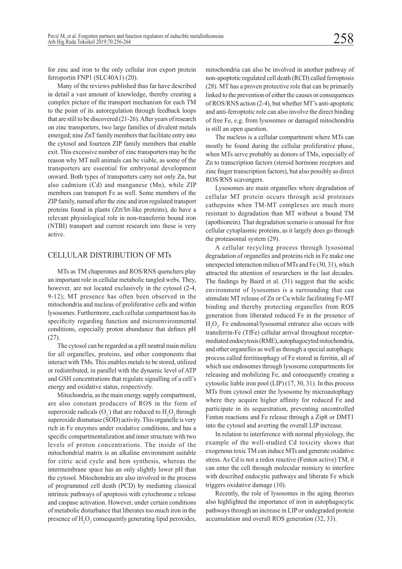for zinc and iron to the only cellular iron export protein ferroportin FNP1 (SLC40A1) (20).

Many of the reviews published thus far have described in detail a vast amount of knowledge, thereby creating a complex picture of the transport mechanism for each TM to the point of its autoregulation through feedback loops that are still to be discovered (21-26). After years of research on zinc transporters, two large families of divalent metals emerged; nine ZnT family members that facilitate entry into the cytosol and fourteen ZIP family members that enable exit. This excessive number of zinc transporters may be the reason why MT null animals can be viable, as some of the transporters are essential for embryonal development onward. Both types of transporters carry not only Zn, but also cadmium (Cd) and manganese (Mn), while ZIP members can transport Fe as well. Some members of the ZIP family, named after the zinc and iron regulated transport proteins found in plants (Zrt/Irt-like proteins), do have a relevant physiological role in non-transferrin bound iron (NTBI) transport and current research into these is very active.

### CELLULAR DISTRIBUTION OF MTs

MTs as TM chaperones and ROS/RNS quenchers play an important role in cellular metabolic tangled webs. They, however, are not located exclusively in the cytosol (2-4, 9-12); MT presence has often been observed in the mitochondria and nucleus of proliferative cells and within lysosomes. Furthermore, each cellular compartment has its specificity regarding function and microenvironmental conditions, especially proton abundance that defines pH (27).

The cytosol can be regarded as a pH neutral main milieu for all organelles, proteins, and other components that interact with TMs. This enables metals to be stored, utilized or redistributed, in parallel with the dynamic level of ATP and GSH concentrations that regulate signalling of a cell's energy and oxidative status, respectively.

Mitochondria, as the main energy supply compartment, are also constant producers of ROS in the form of superoxide radicals  $(O_2)$  that are reduced to  $H_2O_2$  through superoxide dismutase (SOD) activity. This organelle is very rich in Fe enzymes under oxidative conditions, and has a specific compartmentalization and inner structure with two levels of proton concentrations. The inside of the mitochondrial matrix is an alkaline environment suitable for citric acid cycle and hem synthesis, whereas the intermembrane space has an only slightly lower pH than the cytosol. Mitochondria are also involved in the process of programmed cell death (PCD) by mediating classical intrinsic pathways of apoptosis with cytochrome c release and caspase activation. However, under certain conditions of metabolic disturbance that liberates too much iron in the presence of  $H_2O_2$  consequently generating lipid peroxides,

mitochondria can also be involved in another pathway of non-apoptotic regulated cell death (RCD) called ferroptosis (28). MT has a proven protective role that can be primarily linked to the prevention of either the causes or consequences of ROS/RNS action (2-4), but whether MT's anti-apoptotic and anti-ferroptotic role can also involve the direct binding of free Fe, e.g. from lysosomes or damaged mitochondria is still an open question.

The nucleus is a cellular compartment where MTs can mostly be found during the cellular proliferative phase, when MTs serve probably as donors of TMs, especially of Zn to transcription factors (steroid hormone receptors and zinc finger transcription factors), but also possibly as direct ROS/RNS scavengers.

Lysosomes are main organelles where degradation of cellular MT protein occurs through acid proteases cathepsins when TM-MT complexes are much more resistant to degradation than MT without a bound TM (apothionein). That degradation scenario is unusual for free cellular cytoplasmic proteins, as it largely does go through the proteasomal system (29).

A cellular recycling process through lysosomal degradation of organelles and proteins rich in Fe make one unexpected interaction milieu of MTs and Fe (30, 31), which attracted the attention of researchers in the last decades. The findings by Baird et al. (31) suggest that the acidic environment of lysosomes is a surrounding that can stimulate MT release of Zn or Cu while facilitating Fe-MT binding and thereby protecting organelles from ROS generation from liberated reduced Fe in the presence of  $H_2O_2$ . Fe endosomal/lysosomal entrance also occurs with transferrin-Fe (TfFe) cellular arrival throughout receptormediated endocytosis (RME), autophagocyted mitochondria, and other organelles as well as through a special autophagic process called ferritinophagy of Fe stored in ferritin, all of which use endosomes through lysosome compartments for releasing and mobilizing Fe, and consequently creating a cytosolic liable iron pool (LIP) (17, 30, 31). In this process MTs from cytosol enter the lysosome by microautophagy where they acquire higher affinity for reduced Fe and participate in its sequestration, preventing uncontrolled Fenton reactions and Fe release through a Zip8 or DMT1 into the cytosol and averting the overall LIP increase.

In relation to interference with normal physiology, the example of the well-studied Cd toxicity shows that exogenous toxic TM can induce MTs and generate oxidative stress. As Cd is not a redox reactive (Fenton active) TM, it can enter the cell through molecular mimicry to interfere with described endocytic pathways and liberate Fe which triggers oxidative damage (10).

Recently, the role of lysosomes in the aging theories also highlighted the importance of iron in autophagocytic pathways through an increase in LIP or undegraded protein accumulation and overall ROS generation (32, 33).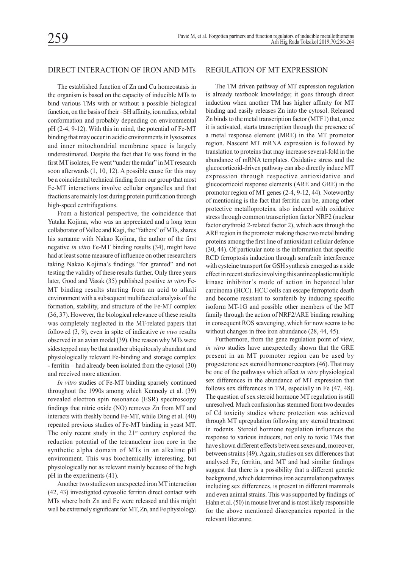### DIRECT INTERACTION OF IRON AND MTs

The established function of Zn and Cu homeostasis in the organism is based on the capacity of inducible MTs to bind various TMs with or without a possible biological function, on the basis of their –SH affinity, ion radius, orbital conformation and probably depending on environmental pH (2-4, 9-12). With this in mind, the potential of Fe-MT binding that may occur in acidic environments in lysosomes and inner mitochondrial membrane space is largely underestimated. Despite the fact that Fe was found in the first MT isolates, Fe went "under the radar" in MT research soon afterwards (1, 10, 12). A possible cause for this may be a coincidental technical finding from our group that most Fe-MT interactions involve cellular organelles and that fractions are mainly lost during protein purification through high-speed centrifugations.

From a historical perspective, the coincidence that Yutaka Kojima, who was an appreciated and a long term collaborator of Vallee and Kagi, the "fathers" of MTs, shares his surname with Nakao Kojima, the author of the first negative *in vitro* Fe-MT binding results (34), might have had at least some measure of influence on other researchers taking Nakao Kojima's findings "for granted" and not testing the validity of these results further. Only three years later, Good and Vasak (35) published positive *in vitro* Fe-MT binding results starting from an acid to alkali environment with a subsequent multifaceted analysis of the formation, stability, and structure of the Fe-MT complex (36, 37). However, the biological relevance of these results was completely neglected in the MT-related papers that followed (3, 9), even in spite of indicative *in vivo* results observed in an avian model (39). One reason why MTs were sidestepped may be that another ubiquitously abundant and physiologically relevant Fe-binding and storage complex - ferritin – had already been isolated from the cytosol (30) and received more attention.

*In vitro* studies of Fe-MT binding sparsely continued throughout the 1990s among which Kennedy et al. (39) revealed electron spin resonance (ESR) spectroscopy findings that nitric oxide (NO) removes Zn from MT and interacts with freshly bound Fe-MT, while Ding et al. (40) repeated previous studies of Fe-MT binding in yeast MT. The only recent study in the  $21<sup>st</sup>$  century explored the reduction potential of the tetranuclear iron core in the synthetic alpha domain of MTs in an alkaline pH environment. This was biochemically interesting, but physiologically not as relevant mainly because of the high pH in the experiments (41).

Another two studies on unexpected iron MT interaction (42, 43) investigated cytosolic ferritin direct contact with MTs where both Zn and Fe were released and this might well be extremely significant for MT, Zn, and Fe physiology.

## REGULATION OF MT EXPRESSION

The TM driven pathway of MT expression regulation is already textbook knowledge; it goes through direct induction when another TM has higher affinity for MT binding and easily releases Zn into the cytosol. Released Zn binds to the metal transcription factor (MTF1) that, once it is activated, starts transcription through the presence of a metal response element (MRE) in the MT promotor region. Nascent MT mRNA expression is followed by translation to proteins that may increase several-fold in the abundance of mRNA templates. Oxidative stress and the glucocorticoid-driven pathway can also directly induce MT expression through respective antioxidative and glucocorticoid response elements (ARE and GRE) in the promotor region of MT genes (2-4, 9-12, 44). Noteworthy of mentioning is the fact that ferritin can be, among other protective metalloproteins, also induced with oxidative stress through common transcription factor NRF2 (nuclear factor erythroid 2-related factor 2), which acts through the ARE region in the promoter making these two metal binding proteins among the first line of antioxidant cellular defence (30, 44). Of particular note is the information that specific RCD ferroptosis induction through sorafenib interference with cysteine transport for GSH synthesis emerged as a side effect in recent studies involving this antineoplastic multiple kinase inhibitor's mode of action in hepatocellular carcinoma (HCC). HCC cells can escape ferroptotic death and become resistant to sorafenib by inducing specific isoform MT-1G and possible other members of the MT family through the action of NRF2/ARE binding resulting in consequent ROS scavenging, which for now seems to be without changes in free iron abundance (28, 44, 45).

Furthermore, from the gene regulation point of view, *in vitro* studies have unexpectedly shown that the GRE present in an MT promoter region can be used by progesterone sex steroid hormone receptors (46). That may be one of the pathways which affect *in vivo* physiological sex differences in the abundance of MT expression that follows sex differences in TM, especially in Fe (47, 48). The question of sex steroid hormone MT regulation is still unresolved. Much confusion has stemmed from two decades of Cd toxicity studies where protection was achieved through MT upregulation following any steroid treatment in rodents. Steroid hormone regulation influences the response to various inducers, not only to toxic TMs that have shown different effects between sexes and, moreover, between strains (49). Again, studies on sex differences that analysed Fe, ferritin, and MT and had similar findings suggest that there is a possibility that a different genetic background, which determines iron accumulation pathways including sex differences, is present in different mammals and even animal strains. This was supported by findings of Hahn et al. (50) in mouse liver and is most likely responsible for the above mentioned discrepancies reported in the relevant literature.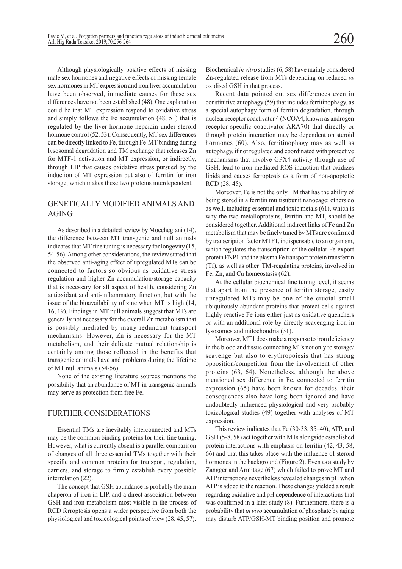Although physiologically positive effects of missing male sex hormones and negative effects of missing female sex hormones in MT expression and iron liver accumulation have been observed, immediate causes for these sex differences have not been established (48). One explanation could be that MT expression respond to oxidative stress and simply follows the Fe accumulation (48, 51) that is regulated by the liver hormone hepcidin under steroid hormone control (52, 53). Consequently, MT sex differences can be directly linked to Fe, through Fe-MT binding during lysosomal degradation and TM exchange that releases Zn for MTF-1 activation and MT expression, or indirectly, through LIP that causes oxidative stress pursued by the induction of MT expression but also of ferritin for iron storage, which makes these two proteins interdependent.

## GENETICALLY MODIFIED ANIMALS AND AGING

As described in a detailed review by Mocchegiani (14), the difference between MT transgenic and null animals indicates that MT fine tuning is necessary for longevity (15, 54-56). Among other considerations, the review stated that the observed anti-aging effect of upregulated MTs can be connected to factors so obvious as oxidative stress regulation and higher Zn accumulation/storage capacity that is necessary for all aspect of health, considering Zn antioxidant and anti-inflammatory function, but with the issue of the bioavailability of zinc when MT is high (14, 16, 19). Findings in MT null animals suggest that MTs are generally not necessary for the overall Zn metabolism that is possibly mediated by many redundant transport mechanisms. However, Zn is necessary for the MT metabolism, and their delicate mutual relationship is certainly among those reflected in the benefits that transgenic animals have and problems during the lifetime of MT null animals (54-56).

None of the existing literature sources mentions the possibility that an abundance of MT in transgenic animals may serve as protection from free Fe.

### FURTHER CONSIDERATIONS

Essential TMs are inevitably interconnected and MTs may be the common binding proteins for their fine tuning. However, what is currently absent is a parallel comparison of changes of all three essential TMs together with their specific and common proteins for transport, regulation, carriers, and storage to firmly establish every possible interrelation (22).

The concept that GSH abundance is probably the main chaperon of iron in LIP, and a direct association between GSH and iron metabolism most visible in the process of RCD ferroptosis opens a wider perspective from both the physiological and toxicological points of view (28, 45, 57).

Biochemical *in vitro* studies (6, 58) have mainly considered Zn-regulated release from MTs depending on reduced *vs* oxidised GSH in that process.

Recent data pointed out sex differences even in constitutive autophagy (59) that includes ferritinophagy, as a special autophagy form of ferritin degradation, through nuclear receptor coactivator 4 (NCOA4, known as androgen receptor-specific coactivator ARA70) that directly or through protein interaction may be dependent on steroid hormones (60). Also, ferritinophagy may as well as autophagy, if not regulated and coordinated with protective mechanisms that involve GPX4 activity through use of GSH, lead to iron-mediated ROS induction that oxidizes lipids and causes ferroptosis as a form of non-apoptotic RCD (28, 45).

Moreover, Fe is not the only TM that has the ability of being stored in a ferritin multisubunit nanocage; others do as well, including essential and toxic metals (61), which is why the two metalloproteins, ferritin and MT, should be considered together. Additional indirect links of Fe and Zn metabolism that may be finely tuned by MTs are confirmed by transcription factor MTF1, indispensable to an organism, which regulates the transcription of the cellular Fe-export protein FNP1 and the plasma Fe transport protein transferrin (Tf), as well as other TM-regulating proteins, involved in Fe, Zn, and Cu homeostasis (62).

At the cellular biochemical fine tuning level, it seems that apart from the presence of ferritin storage, easily upregulated MTs may be one of the crucial small ubiquitously abundant proteins that protect cells against highly reactive Fe ions either just as oxidative quenchers or with an additional role by directly scavenging iron in lysosomes and mitochondria (31).

Moreover, MT1 does make a response to iron deficiency in the blood and tissue connecting MTs not only to storage/ scavenge but also to erythropoiesis that has strong opposition/competition from the involvement of other proteins (63, 64). Nonetheless, although the above mentioned sex difference in Fe, connected to ferritin expression (65) have been known for decades, their consequences also have long been ignored and have undoubtedly influenced physiological and very probably toxicological studies (49) together with analyses of MT expression.

This review indicates that Fe (30-33, 35–40), ATP, and GSH (5-8, 58) act together with MTs alongside established protein interactions with emphasis on ferritin (42, 43, 58, 66) and that this takes place with the influence of steroid hormones in the background (Figure 2). Even as a study by Zangger and Armitage (67) which failed to prove MT and ATP interactions nevertheless revealed changes in pH when ATP is added to the reaction. These changes yielded a result regarding oxidative and pH dependence of interactions that was confirmed in a later study (8). Furthermore, there is a probability that *in vivo* accumulation of phosphate by aging may disturb ATP/GSH-MT binding position and promote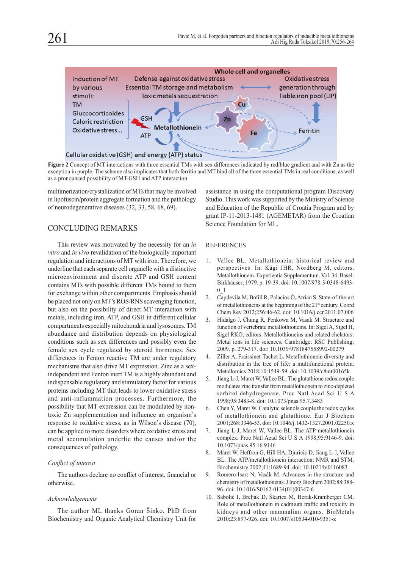

**Figure 2** Concept of MT interactions with three essential TMs with sex differences indicated by red/blue gradient and with Zn as the exception in purple. The scheme also implicates that both ferritin and MT bind all of the three essential TMs in real conditions, as well as a pronounced possibility of MT-GSH and ATP interaction

multimerization/crystallization of MTs that may be involved in lipofuscin/protein aggregate formation and the pathology of neurodegenerative diseases (32, 33, 58, 68, 69).

## CONCLUDING REMARKS

This review was motivated by the necessity for an *in vitro* and *in vivo* revalidation of the biologically important regulation and interactions of MT with iron. Therefore, we underline that each separate cell organelle with a distinctive microenvironment and discrete ATP and GSH content contains MTs with possible different TMs bound to them for exchange within other compartments. Emphasis should be placed not only on MT's ROS/RNS scavenging function, but also on the possibility of direct MT interaction with metals, including iron, ATP, and GSH in different cellular compartments especially mitochondria and lysosomes. TM abundance and distribution depends on physiological conditions such as sex differences and possibly even the female sex cycle regulated by steroid hormones. Sex differences in Fenton reactive TM are under regulatory mechanisms that also drive MT expression. Zinc as a sexindependent and Fenton inert TM is a highly abundant and indispensable regulatory and stimulatory factor for various proteins including MT that leads to lower oxidative stress and anti-inflammation processes. Furthermore, the possibility that MT expression can be modulated by nontoxic Zn supplementation and influence an organism's response to oxidative stress, as in Wilson's disease (70), can be applied to more disorders where oxidative stress and metal accumulation underlie the causes and/or the consequences of pathology.

### *Conflict of interest*

The authors declare no conflict of interest, financial or otherwise.

#### *Acknowledgements*

The author ML thanks Goran Šinko, PhD from Biochemistry and Organic Analytical Chemistry Unit for

assistance in using the computational program Discovery Studio. This work was supported by the Ministry of Science and Education of the Republic of Croatia Program and by grant IP-11-2013-1481 (AGEMETAR) from the Croatian Science Foundation for ML.

#### REFERENCES

- 1. Vallee BL. Metallothionein: historical review and perspectives. In: Kägi JHR, Nordberg M, editors. Metallothionein. Experientia Supplementum. Vol. 34. Basel: Birkhäuser; 1979. p. 19-39. doi: 10.1007/978-3-0348-6493- 0\_1
- 2. Capdevila M, Bofill R, Palacios Ò, Atrian S. State-of-the-art of metallothioneins at the beginning of the 21<sup>st</sup> century. Coord Chem Rev 2012;256:46-62. doi: 10.1016/j.ccr.2011.07.006
- 3. Hidalgo J, Chung R, Penkowa M, Vasak M. Structure and function of vertebrate metallothioneins. In: Sigel A, Sigel H, Sigel RKO, editors. Metallothioneins and related chelators: Metal ions in life sciences. Cambridge: RSC Publishing; 2009. p. 279-317. doi: 10.1039/9781847558992-00279
- 4. Ziller A, Fraissinet-Tachet L. Metallothionein diversity and distribution in the tree of life: a multifunctional protein. Metallomics 2018;10:1549-59. doi: 10.1039/c8mt00165k
- 5. Jiang L-J, Maret W, Vallee BL. The glutathione redox couple modulates zinc transfer from metallothionein to zinc-depleted sorbitol dehydrogenase. Proc Natl Acad Sci U S A 1998;95:3483-8. doi: 10.1073/pnas.95.7.3483
- 6. Chen Y, Maret W. Catalytic selenols couple the redox cycles of metallothionein and glutathione. Eur J Biochem 2001;268:3346-53. doi: 10.1046/j.1432-1327.2001.02250.x
- 7. Jiang L-J, Maret W, Vallee BL. The ATP-metallothionein complex. Proc Natl Acad Sci U S A 1998;95:9146-9. doi: 10.1073/pnas.95.16.9146
- 8. Maret W, Heffron G, Hill HA, Djuricic D, Jiang L-J, Vallee BL. The ATP/metallothionein interaction: NMR and STM. Biochemistry 2002;41:1689-94. doi: 10.1021/bi0116083
- 9. Romero-Isart N, Vasák M. Advances in the structure and chemistry of metallothioneins. J Inorg Biochem 2002;88:388- 96. doi: 10.1016/S0162-0134(01)00347-6
- 10. Sabolić I, Breljak D, Škarica M, Herak-Kramberger CM. Role of metallothionein in cadmium traffic and toxicity in kidneys and other mammalian organs. BioMetals 2010;23:897-926. doi: 10.1007/s10534-010-9351-z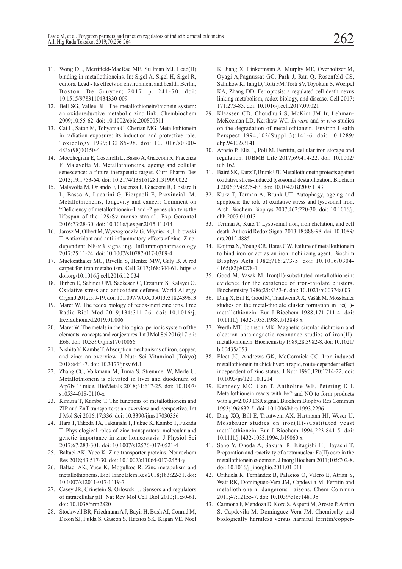- 11. Wong DL, Merrifield-MacRae ME, Stillman MJ. Lead(II) binding in metallothioneins. In: Sigel A, Sigel H, Sigel R, editors. Lead - Its effects on environment and health. Berlin, Boston: De Gruyter; 2017. p. 241-70. doi: 10.1515/9783110434330-009
- 12. Bell SG, Vallee BL. The metallothionein/thionein system: an oxidoreductive metabolic zinc link. Chembiochem 2009;10:55-62. doi: 10.1002/cbic.200800511
- 13. Cai L, Satoh M, Tohyama C, Cherian MG. Metallothionein in radiation exposure: its induction and protective role. Toxicology 1999;132:85-98. doi: 10.1016/s0300- 483x(98)00150-4
- 14. Mocchegiani E, Costarelli L, Basso A, Giacconi R, Piacenza F, Malavolta M. Metallothioneins, ageing and cellular senescence: a future therapeutic target. Curr Pharm Des 2013;19:1753-64. doi: 10.2174/1381612811319090022
- 15. Malavolta M, Orlando F, Piacenza F, Giacconi R, Costarelli L, Basso A, Lucarini G, Pierpaoli E, Provinciali M. Metallothioneins, longevity and cancer: Comment on "Deficiency of metallothionein-1 and -2 genes shortens the lifespan of the 129/Sv mouse strain". Exp Gerontol 2016;73:28-30. doi: 10.1016/j.exger.2015.11.014
- 16. Jarosz M, Olbert M, Wyszogrodzka G, Młyniec K, Librowski T. Antioxidant and anti-inflammatory effects of zinc. Zincdependent NF-κB signaling. Inflammopharmacology 2017;25:11-24. doi: 10.1007/s10787-017-0309-4
- 17. Muckenthaler MU, Rivella S, Hentze MW, Galy B. A red carpet for iron metabolism. Cell 2017;168:344-61. https:// doi.org/10.1016/j.cell.2016.12.034
- 18. Birben E, Sahiner UM, Sackesen C, Erzurum S, Kalayci O. Oxidative stress and antioxidant defense. World Allergy Organ J 2012;5:9-19. doi: 10.1097/WOX.0b013e3182439613
- 19. Maret W. The redox biology of redox-inert zinc ions. Free Radic Biol Med 2019;134:311-26. doi: 10.1016/j. freeradbiomed.2019.01.006
- 20. Maret W. The metals in the biological periodic system of the elements: concepts and conjectures. Int J Mol Sci 2016;17:pii: E66. doi: 10.3390/ijms17010066
- 21. Nishito Y, Kambe T. Absorption mechanisms of iron, copper, and zinc: an overview. J Nutr Sci Vitaminol (Tokyo) 2018;64:1-7. doi: 10.3177/jnsv.64.1
- 22. Zhang CC, Volkmann M, Tuma S, Stremmel W, Merle U. Metallothionein is elevated in liver and duodenum of Atp7b(−/−) mice. BioMetals 2018;31:617-25. doi: 10.1007/ s10534-018-0110-x
- 23. Kimura T, Kambe T. The functions of metallothionein and ZIP and ZnT transporters: an overview and perspective. Int J Mol Sci 2016;17:336. doi: 10.3390/ijms17030336
- 24. Hara T, Takeda TA, Takagishi T, Fukue K, Kambe T, Fukada T. Physiological roles of zinc transporters: molecular and genetic importance in zinc homeostasis. J Physiol Sci 2017;67:283-301. doi: 10.1007/s12576-017-0521-4
- 25. Baltaci AK, Yuce K. Zinc transporter proteins. Neurochem Res 2018;43:517-30. doi: 10.1007/s11064-017-2454-y
- 26. Baltaci AK, Yuce K, Mogulkoc R. Zinc metabolism and metallothioneins. Biol Trace Elem Res 2018;183:22-31. doi: 10.1007/s12011-017-1119-7
- 27. Casey JR, Grinstein S, Orlowski J. Sensors and regulators of intracellular pH. Nat Rev Mol Cell Biol 2010;11:50-61. doi: 10.1038/nrm2820
- 28. Stockwell BR, Friedmann A J, Bayir H, Bush AI, Conrad M, Dixon SJ, Fulda S, Gascón S, Hatzios SK, Kagan VE, Noel

K, Jiang X, Linkermann A, Murphy ME, Overholtzer M, Oyagi A,Pagnussat GC, Park J, Ran Q, Rosenfeld CS, Salnikow K, Tang D, Torti FM, Torti SV, Toyokuni S, Woerpel KA, Zhang DD. Ferroptosis: a regulated cell death nexus linking metabolism, redox biology, and disease. Cell 2017; 171:273-85. doi: 10.1016/j.cell.2017.09.021

- 29. Klaassen CD, Choudhuri S, McKim JM Jr, Lehman-McKeeman LD, Kershaw WC. *In vitro* and *in vivo* studies on the degradation of metallothionein. Environ Health Perspect 1994;102(Suppl 3):141-6. doi: 10.1289/ ehp.94102s3141
- 30. Arosio P, Elia L, Poli M. Ferritin, cellular iron storage and regulation. IUBMB Life 2017;69:414-22. doi: 10.1002/ iub.1621
- 31. Baird SK, Kurz T, Brunk UT. Metallothionein protects against oxidative stress-induced lysosomal destabilization. Biochem J 2006;394:275-83. doi: 10.1042/BJ20051143
- 32. Kurz T, Terman A, Brunk UT. Autophagy, ageing and apoptosis: the role of oxidative stress and lysosomal iron. Arch Biochem Biophys 2007;462:220-30. doi: 10.1016/j. abb.2007.01.013
- 33. Terman A, Kurz T. Lysosomal iron, iron chelation, and cell death. Antioxid Redox Signal 2013;18:888-98. doi: 10.1089/ ars.2012.4885
- 34. Kojima N, Young CR, Bates GW. Failure of metallothionein to bind iron or act as an iron mobilizing agent. Biochim Biophys Acta 1982;716:273-5. doi: 10.1016/0304- 4165(82)90278-1
- 35. Good M, Vasak M. Iron(II)-substituted metallothionein: evidence for the existence of iron-thiolate clusters. Biochemistry 1986;25:8353-6. doi: 10.1021/bi00374a003
- 36. Ding X, Bill E, Good M, Trautwein A X, Vašák M. Mössbauer studies on the metal-thiolate cluster formation in Fe(II) metallothionein. Eur J Biochem 1988;171:711-4. doi: 10.1111/j.1432-1033.1988.tb13843.x
- 37. Werth MT, Johnson MK. Magnetic circular dichroism and electron paramagnetic resonance studies of iron(II) metallothionein. Biochemistry 1989;28:3982-8. doi: 10.1021/ bi00435a053
- 38. Fleet JC, Andrews GK, McCormick CC. Iron-induced metallothionein in chick liver: a rapid, route-dependent effect independent of zinc status. J Nutr 1990;120:1214-22. doi: 10.1093/jn/120.10.1214
- 39. Kennedy MC, Gan T, Antholine WE, Petering DH. Metallothionein reacts with  $Fe<sup>2+</sup>$  and NO to form products with a g=2.039 ESR signal. Biochem Biophys Res Commun 1993;196:632-5. doi: 10.1006/bbrc.1993.2296
- 40. Ding XQ, Bill E, Trautwein AX, Hartmann HJ, Weser U. Mössbauer studies on iron(II)-substituted yeast metallothionein. Eur J Biochem 1994;223:841-5. doi: 10.1111/j.1432-1033.1994.tb19060.x
- 41. Sano Y, Onoda A, Sakurai R, Kitagishi H, Hayashi T. Preparation and reactivity of a tetranuclear Fe(II) core in the metallothionein α-domain. J Inorg Biochem 2011;105:702-8. doi: 10.1016/j.jinorgbio.2011.01.011
- 42. Orihuela R, Fernández B, Palacios O, Valero E, Atrian S, Watt RK, Dominguez-Vera JM, Capdevila M. Ferritin and metallothionein: dangerous liaisons. Chem Commun 2011;47:12155-7. doi: 10.1039/c1cc14819b
- 43. Carmona F, Mendoza D, Kord S, Asperti M, Arosio P, Atrian S, Capdevila M, Dominguez-Vera JM. Chemically and biologically harmless versus harmful ferritin/copper-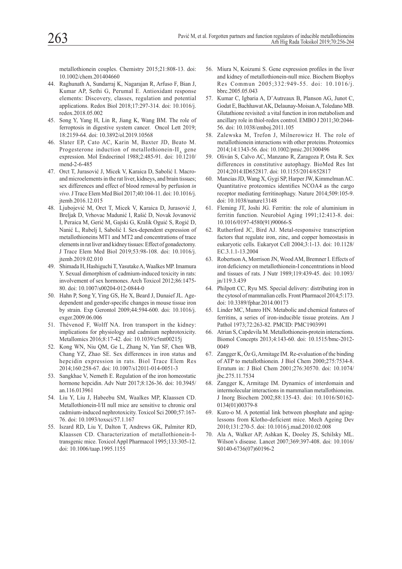metallothionein couples. Chemistry 2015;21:808-13. doi: 10.1002/chem.201404660

- 44. Raghunath A, Sundarraj K, Nagarajan R, Arfuso F, Bian J, Kumar AP, Sethi G, Perumal E. Antioxidant response elements: Discovery, classes, regulation and potential applications. Redox Biol 2018;17:297-314. doi: 10.1016/j. redox.2018.05.002
- 45. Song Y, Yang H, Lin R, Jiang K, Wang BM. The role of ferroptosis in digestive system cancer. Oncol Lett 2019; 18:2159-64. doi: 10.3892/ol.2019.10568
- 46. Slater EP, Cato AC, Karin M, Baxter JD, Beato M. Progesterone induction of metallothionein-II, gene expression. Mol Endocrinol 1988;2:485-91. doi: 10.1210/ mend-2-6-485
- 47. Orct T, Jurasović J, Micek V, Karaica D, Sabolić I. Macroand microelements in the rat liver, kidneys, and brain tissues; sex differences and effect of blood removal by perfusion *in vivo*. J Trace Elem Med Biol 2017;40:104-11. doi: 10.1016/j. jtemb.2016.12.015
- 48. Ljubojević M, Orct T, Micek V, Karaica D, Jurasović J, Breljak D, Vrhovac Madunić I, Rašić D, Novak Jovanović I, Peraica M, Gerić M, Gajski G, Kralik Oguić S, Rogić D, Nanić L, Rubelj I, Sabolić I. Sex-dependent expression of metallothioneins MT1 and MT2 and concentrations of trace elements in rat liver and kidney tissues: Effect of gonadectomy. J Trace Elem Med Biol 2019;53:98-108. doi: 10.1016/j. jtemb.2019.02.010
- 49. Shimada H, Hashiguchi T, Yasutake A, Waalkes MP. Imamura Y. Sexual dimorphism of cadmium-induced toxicity in rats: involvement of sex hormones. Arch Toxicol 2012;86:1475- 80. doi: 10.1007/s00204-012-0844-0
- 50. Hahn P, Song Y, Ying GS, He X, Beard J, Dunaief JL. Agedependent and gender-specific changes in mouse tissue iron by strain. Exp Gerontol 2009;44:594-600. doi: 10.1016/j. exger.2009.06.006
- 51. Thévenod F, Wolff NA. Iron transport in the kidney: implications for physiology and cadmium nephrotoxicity. Metallomics 2016;8:17-42. doi: 10.1039/c5mt00215j
- 52. Kong WN, Niu QM, Ge L, Zhang N, Yan SF, Chen WB, Chang YZ, Zhao SE. Sex differences in iron status and hepcidin expression in rats. Biol Trace Elem Res 2014;160:258-67. doi: 10.1007/s12011-014-0051-3
- 53. Sangkhae V, Nemeth E. Regulation of the iron homeostatic hormone hepcidin. Adv Nutr 2017;8:126-36. doi: 10.3945/ an.116.013961
- 54. Liu Y, Liu J, Habeebu SM, Waalkes MP, Klaassen CD. Metallothionein-I/II null mice are sensitive to chronic oral cadmium-induced nephrotoxicity. Toxicol Sci 2000;57:167- 76. doi: 10.1093/toxsci/57.1.167
- 55. Iszard RD, Liu Y, Dalton T, Andrews GK, Palmiter RD, Klaassen CD. Characterization of metallothionein-Itransgenic mice. Toxicol Appl Pharmacol 1995;133:305-12. doi: 10.1006/taap.1995.1155
- 56. Miura N, Koizumi S. Gene expression profiles in the liver and kidney of metallothionein-null mice. Biochem Biophys Res Commun 2005;332:949-55. doi: 10.1016/j. bbrc.2005.05.043
- 57. Kumar C, Igbaria A, D'Autreaux B, Planson AG, Junot C, Godat E, Bachhawat AK, Delaunay-Moisan A, Toledano MB. Glutathione revisited: a vital function in iron metabolism and ancillary role in thiol-redox control. EMBO J 2011;30:2044- 56. doi: 10.1038/emboj.2011.105
- 58. Zalewska M, Trefon J, Milnerowicz H. The role of metallothionein interactions with other proteins. Proteomics 2014;14:1343-56. doi: 10.1002/pmic.201300496
- 59. Oliván S, Calvo AC, Manzano R, Zaragoza P, Osta R. Sex differences in constitutive autophagy. BioMed Res Int 2014;2014:ID652817. doi: 10.1155/2014/652817
- 60. Mancias JD, Wang X, Gygi SP, Harper JW, Kimmelman AC. Quantitative proteomics identifies NCOA4 as the cargo receptor mediating ferritinophagy. Nature 2014;509:105-9. doi: 10.1038/nature13148
- 61. Fleming JT, Joshi JG. Ferritin: the role of aluminium in ferritin function. Neurobiol Aging 1991;12:413-8. doi: 10.1016/0197-4580(91)90066-S
- 62. Rutherford JC, Bird AJ. Metal-responsive transcription factors that regulate iron, zinc, and copper homeostasis in eukaryotic cells. Eukaryot Cell 2004;3:1-13. doi: 10.1128/ EC.3.1.1-13.2004
- 63. Robertson A, Morrison JN, Wood AM, Bremner I. Effects of iron deficiency on metallothionein-I concentrations in blood and tissues of rats. J Nutr 1989;119:439-45. doi: 10.1093/ jn/119.3.439
- 64. Philpott CC, Ryu MS. Special delivery: distributing iron in the cytosol of mammalian cells. Front Pharmacol 2014;5:173. doi: 10.3389/fphar.2014.00173
- 65. Linder MC, Munro HN. Metabolic and chemical features of ferritins, a series of iron-inducible tissue proteins. Am J Pathol 1973;72:263-82. PMCID: PMC1903991
- 66. Atrian S, Capdevila M. Metallothionein-protein interactions. Biomol Concepts 2013;4:143-60. doi: 10.1515/bmc-2012- 0049
- 67. Zangger K, Öz G, Armitage IM. Re-evaluation of the binding of ATP to metallothionein. J Biol Chem 2000;275:7534-8. Erratum in: J Biol Chem 2001;276:30570. doi: 10.1074/ jbc.275.11.7534
- 68. Zangger K, Armitage IM. Dynamics of interdomain and intermolecular interactions in mammalian metallothioneins. J Inorg Biochem 2002;88:135-43. doi: 10.1016/S0162- 0134(01)00379-8
- 69. Kuro-o M. A potential link between phosphate and aginglessons from Klotho-deficient mice. Mech Ageing Dev 2010;131:270-5. doi: 10.1016/j.mad.2010.02.008
- 70. Ala A, Walker AP, Ashkan K, Dooley JS, Schilsky ML. Wilson's disease. Lancet 2007;369:397-408. doi: 10.1016/ S0140-6736(07)60196-2